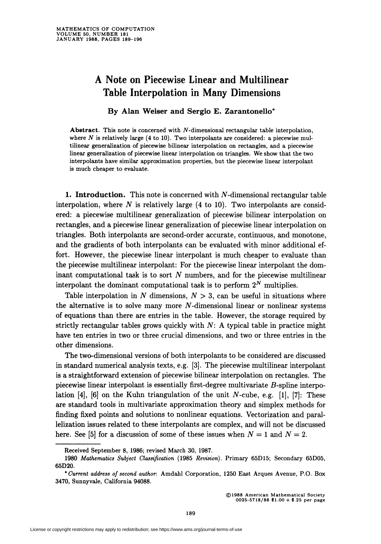## A Note on Piecewise Linear and Multilinear Table Interpolation in Many Dimensions

By Alan Weiser and Sergio E. Zarantonello\*

Abstract. This note is concerned with N-dimensional rectangular table interpolation, where  $N$  is relatively large (4 to 10). Two interpolants are considered: a piecewise multilinear generalization of piecewise bilinear interpolation on rectangles, and a piecewise linear generalization of piecewise linear interpolation on triangles. We show that the two interpolants have similar approximation properties, but the piecewise linear interpolant is much cheaper to evaluate.

1. Introduction. This note is concerned with  $N$ -dimensional rectangular table interpolation, where  $N$  is relatively large  $(4 \text{ to } 10)$ . Two interpolants are considered: a piecewise multilinear generalization of piecewise bilinear interpolation on rectangles, and a piecewise linear generalization of piecewise linear interpolation on triangles. Both interpolants are second-order accurate, continuous, and monotone, and the gradients of both interpolants can be evaluated with minor additional effort. However, the piecewise linear interpolant is much cheaper to evaluate than the piecewise multilinear interpolant: For the piecewise linear interpolant the dominant computational task is to sort  $N$  numbers, and for the piecewise multilinear interpolant the dominant computational task is to perform  $2^N$  multiplies.

Table interpolation in N dimensions,  $N > 3$ , can be useful in situations where the alternative is to solve many more  $N$ -dimensional linear or nonlinear systems of equations than there are entries in the table. However, the storage required by strictly rectangular tables grows quickly with  $N$ : A typical table in practice might have ten entries in two or three crucial dimensions, and two or three entries in the other dimensions.

The two-dimensional versions of both interpolants to be considered are discussed in standard numerical analysis texts, e.g. [3]. The piecewise multilinear interpolant is a straightforward extension of piecewise bilinear interpolation on rectangles. The piecewise linear interpolant is essentially first-degree multivariate B-spline interpolation  $[4]$ ,  $[6]$  on the Kuhn triangulation of the unit N-cube, e.g.  $[1]$ ,  $[7]$ : These are standard tools in multivariate approximation theory and simplex methods for finding fixed points and solutions to nonlinear equations. Vectorization and parallelization issues related to these interpolants are complex, and will not be discussed here. See [5] for a discussion of some of these issues when  $N = 1$  and  $N = 2$ .

Received September 8, 1986; revised March 30, 1987.

<sup>1980</sup> Mathematics Subject Classification (1985 Revision). Primary 65D15; Secondary 65D05, 65D20.

<sup>&#</sup>x27;Current address of second author. Amdahl Corporation, 1250 East Arques Avenue, P.O. Box 3470, Sunnyvale, California 94088.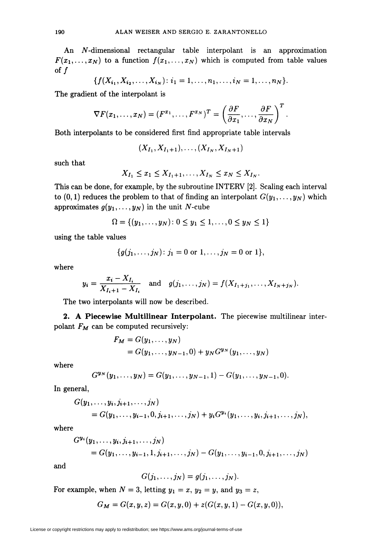An *N*-dimensional rectangular table interpolant is an approximation  $F(x_1,...,x_N)$  to a function  $f(x_1,...,x_N)$  which is computed from table values of  $f$ 

$$
\{f(X_{i_1}, X_{i_2}, \ldots, X_{i_N}) : i_1 = 1, \ldots, n_1, \ldots, i_N = 1, \ldots, n_N\}.
$$

The gradient of the interpolant is

$$
\nabla F(x_1,\ldots,x_N)=(F^{x_1},\ldots,F^{x_N})^T=\left(\frac{\partial F}{\partial x_1},\ldots,\frac{\partial F}{\partial x_N}\right)^T
$$

Both interpolants to be considered first find appropriate table intervals

$$
(X_{I_1}, X_{I_1+1}), \ldots, (X_{I_N}, X_{I_N+1})
$$

such that

$$
X_{I_1}\leq x_1\leq X_{I_1+1},\ldots,X_{I_N}\leq x_N\leq X_{I_N}.
$$

This can be done, for example, by the subroutine INTERV [2]. Scaling each interval to (0, 1) reduces the problem to that of finding an interpolant  $G(y_1, \ldots, y_N)$  which approximates  $g(y_1,\ldots, y_N)$  in the unit N-cube

$$
\Omega = \{(y_1, \ldots, y_N): 0 \le y_1 \le 1, \ldots, 0 \le y_N \le 1\}
$$

using the table values

$$
\{g(j_1,\ldots,j_N)\colon j_1=0 \text{ or } 1,\ldots,j_N=0 \text{ or } 1\},\
$$

where

$$
y_i = \frac{x_i - X_{I_i}}{X_{I_i+1} - X_{I_i}}
$$
 and  $g(j_1, ..., j_N) = f(X_{I_1+j_1}, ..., X_{I_N+j_N}).$ 

The two interpolants will now be described.

2. A Piecewise Multilinear Interpolant. The piecewise multilinear interpolant  $F_M$  can be computed recursively:

$$
F_M = G(y_1, \dots, y_N)
$$
  
=  $G(y_1, \dots, y_{N-1}, 0) + y_N G^{y_N}(y_1, \dots, y_N)$ 

where

$$
G^{\mathbf{y}_N}(y_1,\ldots,y_N)=G(y_1,\ldots,y_{N-1},1)-G(y_1,\ldots,y_{N-1},0).
$$

In general,

$$
G(y_1,..., y_i, j_{i+1},..., j_N)
$$
  
=  $G(y_1,..., y_{i-1}, 0, j_{i+1},..., j_N) + y_i G^{y_i}(y_1,..., y_i, j_{i+1},..., j_N),$ 

where

$$
G^{y_i}(y_1,\ldots,y_i,j_{i+1},\ldots,j_N) = G(y_1,\ldots,y_{i-1},1,j_{i+1},\ldots,j_N) - G(y_1,\ldots,y_{i-1},0,j_{i+1},\ldots,j_N)
$$

and

$$
G(j_1,\ldots,j_N)=g(j_1,\ldots,j_N).
$$

For example, when  $N = 3$ , letting  $y_1 = x$ ,  $y_2 = y$ , and  $y_3 = z$ ,

$$
G_M = G(x, y, z) = G(x, y, 0) + z(G(x, y, 1) - G(x, y, 0)),
$$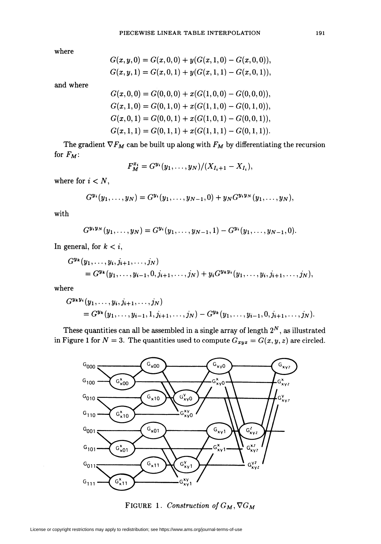where

$$
G(x, y, 0) = G(x, 0, 0) + y(G(x, 1, 0) - G(x, 0, 0)),
$$
  
\n
$$
G(x, y, 1) = G(x, 0, 1) + y(G(x, 1, 1) - G(x, 0, 1)),
$$

and where

$$
G(x,0,0) = G(0,0,0) + x(G(1,0,0) - G(0,0,0)),
$$
  
\n
$$
G(x,1,0) = G(0,1,0) + x(G(1,1,0) - G(0,1,0)),
$$
  
\n
$$
G(x,0,1) = G(0,0,1) + x(G(1,0,1) - G(0,0,1)),
$$
  
\n
$$
G(x,1,1) = G(0,1,1) + x(G(1,1,1) - G(0,1,1)).
$$

The gradient  $\nabla F_M$  can be built up along with  $F_M$  by differentiating the recursion for  $F_M$ :

$$
F_M^{x_i} = G^{y_i}(y_1,\ldots,y_N)/(X_{I_i+1}-X_{I_i}),
$$

where for  $i < N$ ,

$$
G^{\mathbf{y_i}}(y_1,\ldots,y_N)=G^{\mathbf{y_i}}(y_1,\ldots,y_{N-1},0)+y_N G^{\mathbf{y_iy_N}}(y_1,\ldots,y_N),
$$

with

$$
G^{\mathbf{y_i}\mathbf{y_N}}(y_1,\ldots,y_N)=G^{\mathbf{y_i}}(y_1,\ldots,y_{N-1},1)-G^{\mathbf{y_i}}(y_1,\ldots,y_{N-1},0).
$$

In general, for  $k < i$ ,

$$
G^{y_{k}}(y_{1},...,y_{i},j_{i+1},...,j_{N}) = G^{y_{k}}(y_{1},...,y_{i-1},0,j_{i+1},...,j_{N}) + y_{i}G^{y_{k}y_{i}}(y_{1},...,y_{i},j_{i+1},...,j_{N}),
$$

where

$$
G^{\mathbf{y}_{k}\mathbf{y}_{i}}(y_{1},\ldots,y_{i},j_{i+1},\ldots,j_{N})
$$
  
=  $G^{\mathbf{y}_{k}}(y_{1},\ldots,y_{i-1},1,j_{i+1},\ldots,j_{N}) - G^{\mathbf{y}_{k}}(y_{1},\ldots,y_{i-1},0,j_{i+1},\ldots,j_{N}).$ 

These quantities can all be assembled in a single array of length  $2^N$ , as illustrated in Figure 1 for  $N = 3$ . The quantities used to compute  $G_{xyz} = G(x, y, z)$  are circled.



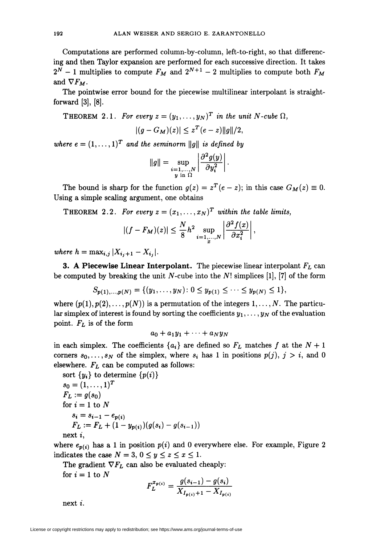Computations are performed column-by-column, left-to-right, so that differencing and then Taylor expansion are performed for each successive direction. It takes  $2^N - 1$  multiplies to compute  $F_M$  and  $2^{N+1} - 2$  multiplies to compute both  $F_M$ and  $\nabla F_M$ .

The pointwise error bound for the piecewise multilinear interpolant is straightforward [3], [8].

THEOREM 2.1. For every 
$$
z = (y_1, ..., y_N)^T
$$
 in the unit N-cube  $\Omega$ ,  

$$
|(g - G_M)(z)| \le z^T (e - z) ||g||/2,
$$

where  $e = (1, \ldots, 1)^T$  and the seminorm  $\|g\|$  is defined by

$$
\|g\|=\sup_{\substack{i=1,\ldots,N\\y \text{ in } \Omega}}\left|\frac{\partial^2 g(y)}{\partial y_i^2}\right|.
$$

The bound is sharp for the function  $g(z) = z^T(e - z)$ ; in this case  $G_M(z) \equiv 0$ . Using a simple scaling argument, one obtains

THEOREM 2.2. For every  $z = (x_1, \ldots, x_N)^T$  within the table limits,

$$
|(f-F_M)(z)| \leq \frac{N}{8}h^2 \sup_{i=1,\ldots,N} \left| \frac{\partial^2 f(x)}{\partial x_i^2} \right|,
$$

where  $h = \max_{i,j} |X_{i,j+1} - X_{i,j}|.$ 

**3. A Piecewise Linear Interpolant.** The piecewise linear interpolant  $F_L$  can be computed by breaking the unit N-cube into the N! simplices [1], [7] of the form

$$
S_{p(1),...,p(N)} = \{(y_1,...,y_N): 0 \le y_{p(1)} \le \cdots \le y_{p(N)} \le 1\},\
$$

where  $(p(1), p(2), \ldots, p(N))$  is a permutation of the integers  $1, \ldots, N$ . The particular simplex of interest is found by sorting the coefficients  $y_1, \ldots, y_N$  of the evaluation point.  $F_L$  is of the form

 $a_0 + a_1y_1 + \cdots + a_Ny_N$ 

in each simplex. The coefficients  $\{a_i\}$  are defined so  $F_L$  matches f at the  $N+1$ corners  $s_0, \ldots, s_N$  of the simplex, where  $s_i$  has 1 in positions  $p(j), j > i$ , and 0 elsewhere.  $F_L$  can be computed as follows:

sort {
$$
y_i
$$
} to determine { $p(i)$ }  
\n $s_0 = (1, ..., 1)^T$   
\n $F_L := g(s_0)$   
\nfor  $i = 1$  to N  
\n $s_i = s_{i-1} - e_{p(i)}$   
\n $F_L := F_L + (1 - y_{p(i)})(g(s_i) - g(s_{i-1}))$   
\nnext *i*,

where  $e_{p(i)}$  has a 1 in position  $p(i)$  and 0 everywhere else. For example, Figure 2 indicates the case  $N = 3, 0 \le y \le z \le x \le 1$ .

The gradient  $\nabla F_L$  can also be evaluated cheaply: for  $i = 1$  to N

$$
F_L^{x_{p(i)}} = \frac{g(s_{i-1}) - g(s_i)}{X_{I_{p(i)}+1} - X_{I_{p(i)}}}
$$

next i.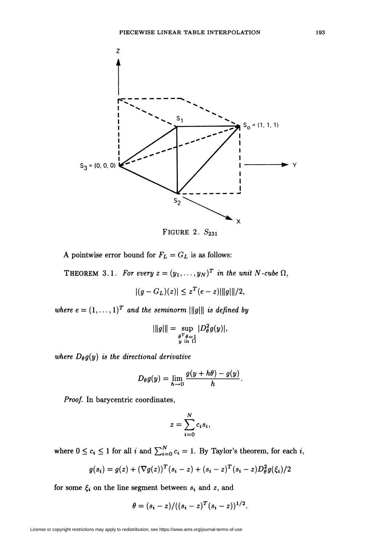

FIGURE 2.  $S_{231}$ 

A pointwise error bound for  $F_L = G_L$  is as follows:

THEOREM 3.1. For every  $z = (y_1, \ldots, y_N)^T$  in the unit N-cube  $\Omega$ ,

 $|(g-G_L)(z)| \leq z^T(e-z)\|\|g\|\|/2,$ 

where  $e = (1, \ldots, 1)^T$  and the seminorm  $\|\|g\|\|$  is defined by

$$
|\|g\|| = \sup_{\substack{\theta^T \theta = 1 \\ y \text{ in } \Omega}} |D_\theta^2 g(y)|,
$$

where  $D_{\theta}g(y)$  is the directional derivative

$$
D_{\theta}g(y)=\lim_{h\to 0}\frac{g(y+h\theta)-g(y)}{h}.
$$

Proof. In barycentric coordinates,

$$
z=\sum_{i=0}^N c_i s_i,
$$

where  $0 \le c_i \le 1$  for all  $i$  and  $\sum_{i=0}^{N} c_i = 1$ . By Taylor's theorem, for each  $i$ ,

$$
g(s_i) = g(z) + (\nabla g(z))^T (s_i - z) + (s_i - z)^T (s_i - z) D_\theta^2 g(\xi_i)/2
$$

for some  $\xi_i$  on the line segment between  $s_i$  and z, and

$$
\theta = (s_i - z) / ((s_i - z)^T (s_i - z))^{1/2}.
$$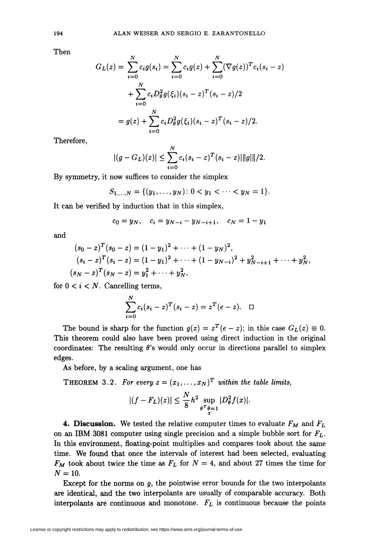Then

$$
G_L(z) = \sum_{i=0}^{N} c_i g(s_i) = \sum_{i=0}^{N} c_i g(z) + \sum_{i=0}^{N} (\nabla g(z))^T c_i (s_i - z)
$$
  
+ 
$$
\sum_{i=0}^{N} c_i D_{\theta}^2 g(\xi_i) (s_i - z)^T (s_i - z)/2
$$
  
= 
$$
g(z) + \sum_{i=0}^{N} c_i D_{\theta}^2 g(\xi_i) (s_i - z)^T (s_i - z)/2.
$$

Therefore,

$$
|(g - G_L)(z)| \leq \sum_{i=0}^{N} c_i (s_i - z)^T (s_i - z) ||g|| ||/2.
$$

By symmetry, it now suffices to consider the simplex

$$
S_{1,\ldots,N} = \{(y_1,\ldots,y_N): 0 < y_1 < \cdots < y_N = 1\}.
$$

It can be verified by induction that in this simplex,

$$
c_0 = y_N, \quad c_i = y_{N-i} - y_{N-i+1}, \quad c_N = 1 - y_1
$$

and

$$
(s_0 - z)^T (s_0 - z) = (1 - y_1)^2 + \dots + (1 - y_N)^2,
$$
  
\n
$$
(s_i - z)^T (s_i - z) = (1 - y_1)^2 + \dots + (1 - y_{N-i})^2 + y_{N-i+1}^2 + \dots + y_N^2,
$$
  
\n
$$
(s_N - z)^T (s_N - z) = y_1^2 + \dots + y_N^2,
$$

for  $0 \lt i \lt N$ . Cancelling terms,

$$
\sum_{i=0}^{N} c_i (s_i - z)^T (s_i - z) = z^T (e - z). \quad \Box
$$

The bound is sharp for the function  $g(z) = z^T(e-z)$ ; in this case  $G_L(z) \equiv 0$ . This theorem could also have been proved using direct induction in the original coordinates: The resulting  $\theta$ 's would only occur in directions parallel to simplex edges.

As before, by a scaling argument, one has

THEOREM 3.2. For every  $z = (x_1, \ldots, x_N)^T$  within the table limits,

$$
|(f - F_L)(z)| \le \frac{N}{8} h^2 \sup_{\substack{\theta^T \theta = 1 \\ x}} |D_\theta^2 f(x)|.
$$

**4. Discussion.** We tested the relative computer times to evaluate  $F_M$  and  $F_L$ on an IBM 3081 computer using single precision and a simple bubble sort for  $F_L$ . In this environment, floating-point multiplies and compares took about the same time. We found that once the intervals of interest had been selected, evaluating  $F_M$  took about twice the time as  $F_L$  for  $N = 4$ , and about 27 times the time for  $N = 10$ .

Except for the norms on  $g$ , the pointwise error bounds for the two interpolants are identical, and the two interpolants are usually of comparable accuracy. Both interpolants are continuous and monotone.  $F_L$  is continuous because the points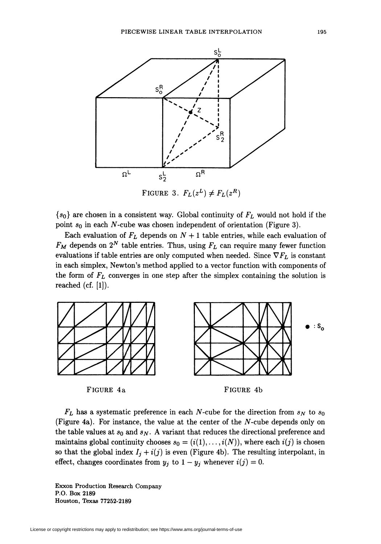

 ${s_0}$  are chosen in a consistent way. Global continuity of  $F_L$  would not hold if the point  $s_0$  in each N-cube was chosen independent of orientation (Figure 3).

Each evaluation of  $F_L$  depends on  $N + 1$  table entries, while each evaluation of  $F_M$  depends on  $2^N$  table entries. Thus, using  $F_L$  can require many fewer function evaluations if table entries are only computed when needed. Since  $\nabla F_L$  is constant in each simplex, Newton's method applied to a vector function with components of the form of  $F<sub>L</sub>$  converges in one step after the simplex containing the solution is reached  $(cf. [1])$ .



 $F_L$  has a systematic preference in each N-cube for the direction from  $s_N$  to  $s_0$ (Figure 4a). For instance, the value at the center of the  $N$ -cube depends only on the table values at  $s_0$  and  $s_N$ . A variant that reduces the directional preference and maintains global continuity chooses  $s_0 = (i(1), \ldots, i(N))$ , where each  $i(j)$  is chosen so that the global index  $I_i + i(j)$  is even (Figure 4b). The resulting interpolant, in effect, changes coordinates from  $y_j$  to  $1 - y_j$  whenever  $i(j) = 0$ .

Exxon Production Research Company P.O. Box 2189 Houston, Texas 77252-2189